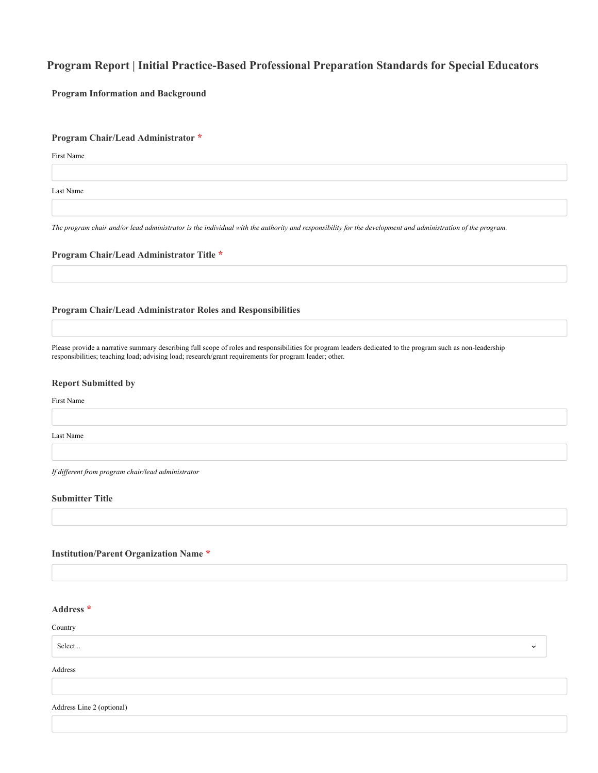# **Program Report | Initial Practice-Based Professional Preparation Standards for Special Educators**

**Program Information and Background**

# **Program Chair/Lead Administrator \***

First Name

Last Name

*The program chair and/or lead administrator is the individual with the authority and responsibility for the development and administration of the program.*

#### **Program Chair/Lead Administrator Title \***

# **Program Chair/Lead Administrator Roles and Responsibilities**

Please provide a narrative summary describing full scope of roles and responsibilities for program leaders dedicated to the program such as non-leadership responsibilities; teaching load; advising load; research/grant requirements for program leader; other.

#### **Report Submitted by**

First Name

Last Name

*If different from program chair/lead administrator*

# **Submitter Title**

# **Institution/Parent Organization Name \***

# **Address \***

Country

# Select...

Address

Address Line 2 (optional)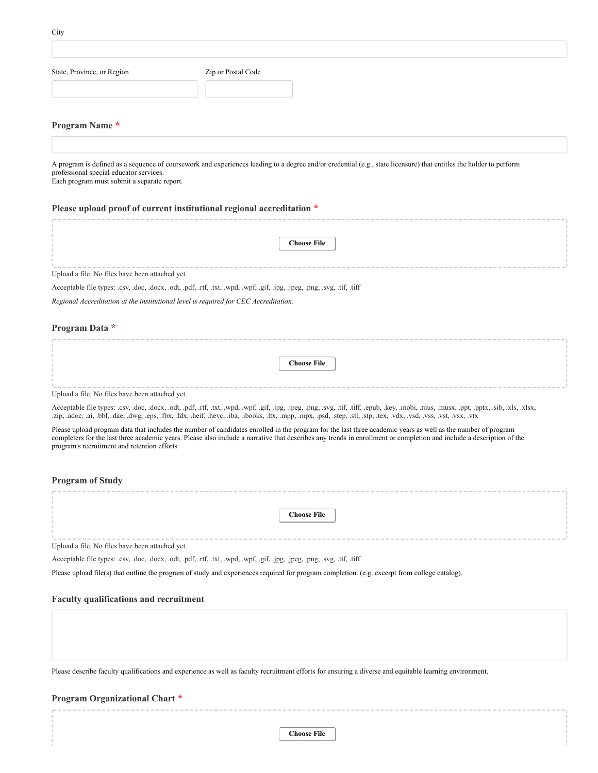| State, Province, or Region                                                             | Zip or Postal Code                                                                                                                                                                                                                                                                                                                        |
|----------------------------------------------------------------------------------------|-------------------------------------------------------------------------------------------------------------------------------------------------------------------------------------------------------------------------------------------------------------------------------------------------------------------------------------------|
| Program Name*                                                                          |                                                                                                                                                                                                                                                                                                                                           |
|                                                                                        |                                                                                                                                                                                                                                                                                                                                           |
| professional special educator services.<br>Each program must submit a separate report. | A program is defined as a sequence of coursework and experiences leading to a degree and/or credential (e.g., state licensure) that entitles the holder to perform                                                                                                                                                                        |
|                                                                                        | Please upload proof of current institutional regional accreditation *                                                                                                                                                                                                                                                                     |
|                                                                                        |                                                                                                                                                                                                                                                                                                                                           |
|                                                                                        | <b>Choose File</b>                                                                                                                                                                                                                                                                                                                        |
| Upload a file. No files have been attached yet.                                        |                                                                                                                                                                                                                                                                                                                                           |
|                                                                                        | Acceptable file types: .csv, .doc, .docx, .odt, .pdf, .rtf, .txt, .wpd, .wpf, .gif, .jpg, .jpeg, .png, .svg, .tif, .tiff                                                                                                                                                                                                                  |
| Regional Accreditation at the institutional level is required for CEC Accreditation.   |                                                                                                                                                                                                                                                                                                                                           |
| Program Data *                                                                         |                                                                                                                                                                                                                                                                                                                                           |
|                                                                                        | <b>Choose File</b>                                                                                                                                                                                                                                                                                                                        |
| Upload a file. No files have been attached yet.                                        |                                                                                                                                                                                                                                                                                                                                           |
|                                                                                        | Acceptable file types: .csv, .doc, .docx, .odt, .pdf, .rtf, .txt, .wpd, .wpf, .gif, .jpg, .jpeg, .png, .svg, .tif, .tiff, .epub, .key, .mobi, .mus, .musx, .ppt, .pptx, .sib, .xls, .xlsx,<br>zip, adoc, ai, bbl, dae, dwg, eps, fbx, fdx, heif, hevc, iba, ibooks, ltx, mpp, mpx, psd, step, stl, stp, tex, vdx, vsd, vss, vst, vsx, vtx |
| program's recruitment and retention efforts                                            | Please upload program data that includes the number of candidates enrolled in the program for the last three academic years as well as the number of program<br>completers for the last three academic years. Please also include a narrative that describes any trends in enrollment or completion and include a description of the      |
| <b>Program of Study</b>                                                                |                                                                                                                                                                                                                                                                                                                                           |
|                                                                                        |                                                                                                                                                                                                                                                                                                                                           |
|                                                                                        | <b>Choose File</b>                                                                                                                                                                                                                                                                                                                        |
| Upload a file. No files have been attached yet.                                        |                                                                                                                                                                                                                                                                                                                                           |
|                                                                                        | Acceptable file types: .csv, .doc, .docx, .odt, .pdf, .rtf, .txt, .wpd, .wpf, .gif, .jpg, .jpeg, .png, .svg, .tif, .tiff                                                                                                                                                                                                                  |
|                                                                                        | Please upload file(s) that outline the program of study and experiences required for program completion. (e.g. excerpt from college catalog).                                                                                                                                                                                             |
| <b>Faculty qualifications and recruitment</b>                                          |                                                                                                                                                                                                                                                                                                                                           |
|                                                                                        |                                                                                                                                                                                                                                                                                                                                           |

Please describe faculty qualifications and experience as well as faculty recruitment efforts for ensuring a diverse and equitable learning environment.

# **Program Organizational Chart \***

**Choose File**

**City**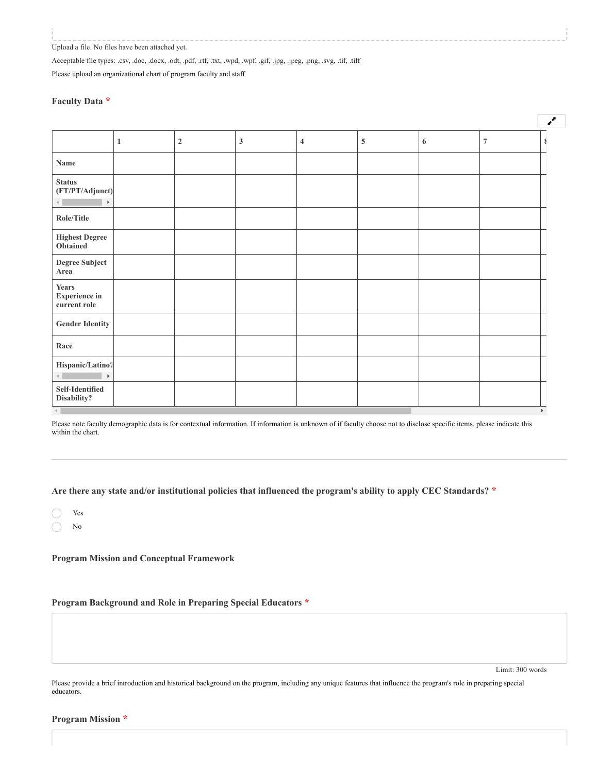Upload a file. No files have been attached yet.

Acceptable file types: .csv, .doc, .docx, .odt, .pdf, .rtf, .txt, .wpd, .wpf, .gif, .jpg, .jpeg, .png, .svg, .tif, .tiff

Please upload an organizational chart of program faculty and staff

# **Faculty Data \***

|                                                           |             |                |                         |   |   |                | ¥ |
|-----------------------------------------------------------|-------------|----------------|-------------------------|---|---|----------------|---|
|                                                           | $\mathbf 2$ | $\mathfrak{Z}$ | $\overline{\mathbf{4}}$ | 5 | 6 | $\overline{7}$ | ₹ |
| Name                                                      |             |                |                         |   |   |                |   |
| <b>Status</b><br>(FT/PT/Adjunct)<br>$\blacktriangleright$ |             |                |                         |   |   |                |   |
| Role/Title                                                |             |                |                         |   |   |                |   |
| <b>Highest Degree</b><br>Obtained                         |             |                |                         |   |   |                |   |
| <b>Degree Subject</b><br>Area                             |             |                |                         |   |   |                |   |
| <b>Years</b><br><b>Experience in</b><br>current role      |             |                |                         |   |   |                |   |
| <b>Gender Identity</b>                                    |             |                |                         |   |   |                |   |
| Race                                                      |             |                |                         |   |   |                |   |
| Hispanic/Latino?<br>$\blacktriangleright$                 |             |                |                         |   |   |                |   |
| Self-Identified<br>Disability?                            |             |                |                         |   |   |                |   |

Please note faculty demographic data is for contextual information. If information is unknown of if faculty choose not to disclose specific items, please indicate this within the chart.

**Are there any state and/or institutional policies that influenced the program's ability to apply CEC Standards? \***

| Yes |
|-----|
| No  |

**Program Mission and Conceptual Framework**

**Program Background and Role in Preparing Special Educators \***

Limit: 300 words

Please provide a brief introduction and historical background on the program, including any unique features that influence the program's role in preparing special educators.

**Program Mission \***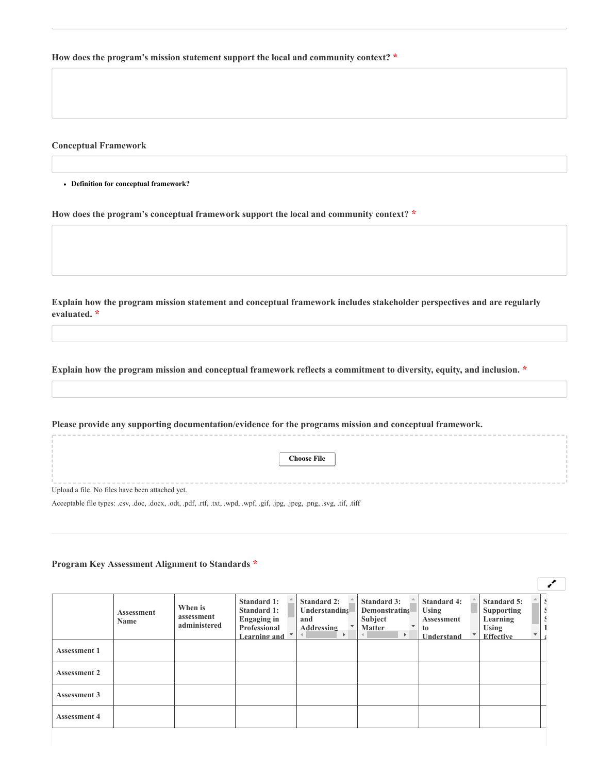**How does the program's mission statement support the local and community context? \***

**Conceptual Framework**

**Definition for conceptual framework?**

**How does the program's conceptual framework support the local and community context? \***

**Explain how the program mission statement and conceptual framework includes stakeholder perspectives and are regularly evaluated. \***

**Explain how the program mission and conceptual framework reflects a commitment to diversity, equity, and inclusion. \***

**Please provide any supporting documentation/evidence for the programs mission and conceptual framework.**

**Choose File**

Upload a file. No files have been attached yet.

Acceptable file types: .csv, .doc, .docx, .odt, .pdf, .rtf, .txt, .wpd, .wpf, .gif, .jpg, .jpeg, .png, .svg, .tif, .tiff

**Program Key Assessment Alignment to Standards \***

|                     | <b>Assessment</b><br><b>Name</b> | When is<br>assessment<br>administered | Standard 1:<br><b>Standard 1:</b><br><b>Engaging in</b><br>Professional<br>Learning and | <b>Standard 2:</b><br>Understanding<br>and<br><b>Addressing</b><br>$\mathbf{F}$<br>$\left($ | <b>Standard 3:</b><br><b>Demonstrating</b><br>Subject<br>$\mathbf{v}$<br><b>Matter</b><br>$\mathbb{R}$ | <b>Standard 4:</b><br>Using<br><b>Assessment</b><br>to<br>Understand | <b>Standard 5:</b><br><b>Supporting</b><br>Learning<br><b>Using</b><br><b>Effective</b> |  |
|---------------------|----------------------------------|---------------------------------------|-----------------------------------------------------------------------------------------|---------------------------------------------------------------------------------------------|--------------------------------------------------------------------------------------------------------|----------------------------------------------------------------------|-----------------------------------------------------------------------------------------|--|
| <b>Assessment 1</b> |                                  |                                       |                                                                                         |                                                                                             |                                                                                                        |                                                                      |                                                                                         |  |
| <b>Assessment 2</b> |                                  |                                       |                                                                                         |                                                                                             |                                                                                                        |                                                                      |                                                                                         |  |
| <b>Assessment 3</b> |                                  |                                       |                                                                                         |                                                                                             |                                                                                                        |                                                                      |                                                                                         |  |
| <b>Assessment 4</b> |                                  |                                       |                                                                                         |                                                                                             |                                                                                                        |                                                                      |                                                                                         |  |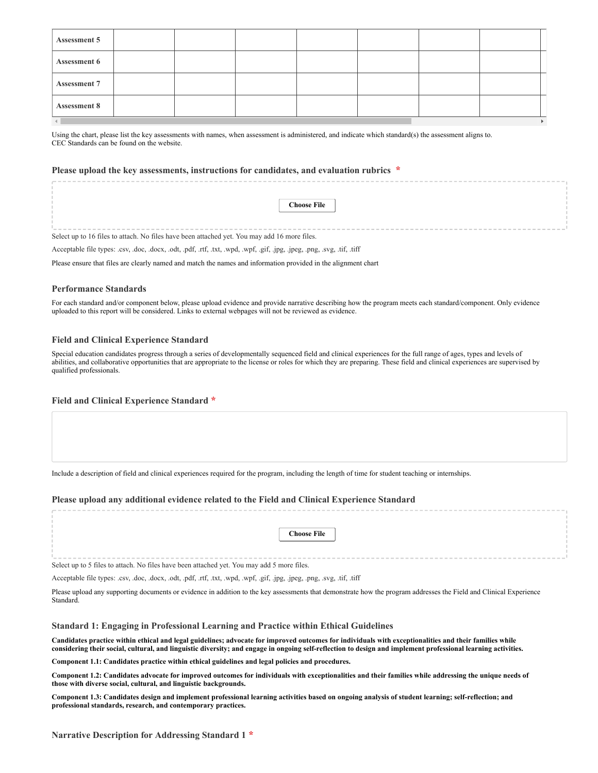| <b>Assessment 5</b> |  |  |  |  |
|---------------------|--|--|--|--|
| <b>Assessment 6</b> |  |  |  |  |
| <b>Assessment 7</b> |  |  |  |  |
| <b>Assessment 8</b> |  |  |  |  |
|                     |  |  |  |  |

Using the chart, please list the key assessments with names, when assessment is administered, and indicate which standard(s) the assessment aligns to. [CEC Standards can be found on the website.](https://exceptionalchildren.org/professional-preparation-standards)

# **Please upload the key assessments, instructions for candidates, and evaluation rubrics \***

|                                                                                              | <b>Choose File</b> |  |  |  |  |  |
|----------------------------------------------------------------------------------------------|--------------------|--|--|--|--|--|
|                                                                                              |                    |  |  |  |  |  |
|                                                                                              |                    |  |  |  |  |  |
|                                                                                              |                    |  |  |  |  |  |
|                                                                                              |                    |  |  |  |  |  |
| Select up to 16 files to attach. No files have been attached yet. You may add 16 more files. |                    |  |  |  |  |  |

Acceptable file types: .csv, .doc, .docx, .odt, .pdf, .rtf, .txt, .wpd, .wpf, .gif, .jpg, .jpeg, .png, .svg, .tif, .tiff

Please ensure that files are clearly named and match the names and information provided in the alignment chart

#### **Performance Standards**

For each standard and/or component below, please upload evidence and provide narrative describing how the program meets each standard/component. Only evidence uploaded to this report will be considered. Links to external webpages will not be reviewed as evidence.

#### **Field and Clinical Experience Standard**

Special education candidates progress through a series of developmentally sequenced field and clinical experiences for the full range of ages, types and levels of abilities, and collaborative opportunities that are appropriate to the license or roles for which they are preparing. These field and clinical experiences are supervised by qualified professionals.

#### **Field and Clinical Experience Standard \***

Include a description of field and clinical experiences required for the program, including the length of time for student teaching or internships.

#### **Please upload any additional evidence related to the Field and Clinical Experience Standard**

|  |  |  |  |  |  |  |  |  | <b>Choose File</b> |  |  |  |  |  |  |  |  |  |  |  |
|--|--|--|--|--|--|--|--|--|--------------------|--|--|--|--|--|--|--|--|--|--|--|
|  |  |  |  |  |  |  |  |  |                    |  |  |  |  |  |  |  |  |  |  |  |
|  |  |  |  |  |  |  |  |  |                    |  |  |  |  |  |  |  |  |  |  |  |
|  |  |  |  |  |  |  |  |  |                    |  |  |  |  |  |  |  |  |  |  |  |
|  |  |  |  |  |  |  |  |  |                    |  |  |  |  |  |  |  |  |  |  |  |

Select up to 5 files to attach. No files have been attached yet. You may add 5 more files.

Acceptable file types: .csv, .doc, .docx, .odt, .pdf, .rtf, .txt, .wpd, .wpf, .gif, .jpg, .jpeg, .png, .svg, .tif, .tiff

Please upload any supporting documents or evidence in addition to the key assessments that demonstrate how the program addresses the Field and Clinical Experience Standard.

**Standard 1: Engaging in Professional Learning and Practice within Ethical Guidelines**

**Candidates practice within ethical and legal guidelines; advocate for improved outcomes for individuals with exceptionalities and their families while considering their social, cultural, and linguistic diversity; and engage in ongoing self-reflection to design and implement professional learning activities.**

**Component 1.1: Candidates practice within ethical guidelines and legal policies and procedures.**

**Component 1.2: Candidates advocate for improved outcomes for individuals with exceptionalities and their families while addressing the unique needs of those with diverse social, cultural, and linguistic backgrounds.**

**Component 1.3: Candidates design and implement professional learning activities based on ongoing analysis of student learning; self-reflection; and professional standards, research, and contemporary practices.**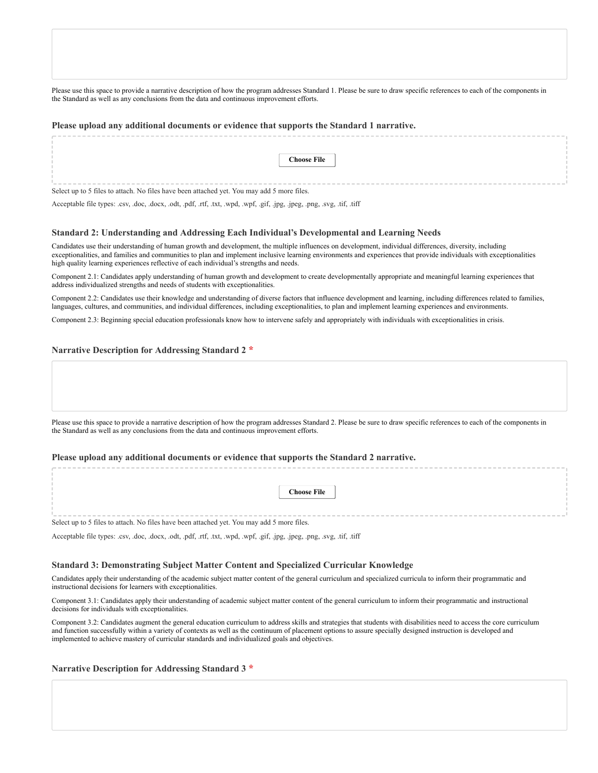Please use this space to provide a narrative description of how the program addresses Standard 1. Please be sure to draw specific references to each of the components in the Standard as well as any conclusions from the data and continuous improvement efforts.

#### **Please upload any additional documents or evidence that supports the Standard 1 narrative.**

|                                                                                            | <b>Choose File</b> |  |  |  |  |  |
|--------------------------------------------------------------------------------------------|--------------------|--|--|--|--|--|
|                                                                                            |                    |  |  |  |  |  |
|                                                                                            |                    |  |  |  |  |  |
|                                                                                            |                    |  |  |  |  |  |
|                                                                                            |                    |  |  |  |  |  |
| Select up to 5 files to attach. No files have been attached yet. You may add 5 more files. |                    |  |  |  |  |  |

Acceptable file types: .csv, .doc, .docx, .odt, .pdf, .rtf, .txt, .wpd, .wpf, .gif, .jpg, .jpeg, .png, .svg, .tif, .tiff

#### **Standard 2: Understanding and Addressing Each Individual's Developmental and Learning Needs**

Candidates use their understanding of human growth and development, the multiple influences on development, individual differences, diversity, including exceptionalities, and families and communities to plan and implement inclusive learning environments and experiences that provide individuals with exceptionalities high quality learning experiences reflective of each individual's strengths and needs.

Component 2.1: Candidates apply understanding of human growth and development to create developmentally appropriate and meaningful learning experiences that address individualized strengths and needs of students with exceptionalities.

Component 2.2: Candidates use their knowledge and understanding of diverse factors that influence development and learning, including differences related to families, languages, cultures, and communities, and individual differences, including exceptionalities, to plan and implement learning experiences and environments.

Component 2.3: Beginning special education professionals know how to intervene safely and appropriately with individuals with exceptionalities in crisis.

#### **Narrative Description for Addressing Standard 2 \***

Please use this space to provide a narrative description of how the program addresses Standard 2. Please be sure to draw specific references to each of the components in the Standard as well as any conclusions from the data and continuous improvement efforts.

#### **Please upload any additional documents or evidence that supports the Standard 2 narrative.**

|                                                                                            | <b>Choose File</b> |
|--------------------------------------------------------------------------------------------|--------------------|
|                                                                                            |                    |
|                                                                                            |                    |
|                                                                                            |                    |
|                                                                                            |                    |
|                                                                                            |                    |
| Select up to 5 files to attach. No files have been attached yet. You may add 5 more files. |                    |

Acceptable file types: .csv, .doc, .docx, .odt, .pdf, .rtf, .txt, .wpd, .wpf, .gif, .jpg, .jpeg, .png, .svg, .tif, .tiff

#### **Standard 3: Demonstrating Subject Matter Content and Specialized Curricular Knowledge**

Candidates apply their understanding of the academic subject matter content of the general curriculum and specialized curricula to inform their programmatic and instructional decisions for learners with exceptionalities.

Component 3.1: Candidates apply their understanding of academic subject matter content of the general curriculum to inform their programmatic and instructional decisions for individuals with exceptionalities.

Component 3.2: Candidates augment the general education curriculum to address skills and strategies that students with disabilities need to access the core curriculum and function successfully within a variety of contexts as well as the continuum of placement options to assure specially designed instruction is developed and implemented to achieve mastery of curricular standards and individualized goals and objectives.

# **Narrative Description for Addressing Standard 3 \***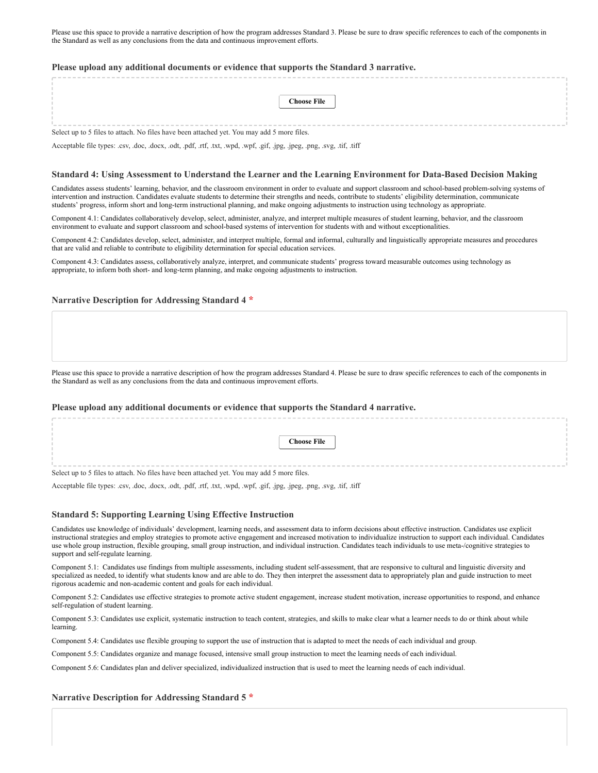Please use this space to provide a narrative description of how the program addresses Standard 3. Please be sure to draw specific references to each of the components in the Standard as well as any conclusions from the data and continuous improvement efforts.

#### **Please upload any additional documents or evidence that supports the Standard 3 narrative.**

|                                                                                            | <b>Choose File</b> |  |  |  |  |  |
|--------------------------------------------------------------------------------------------|--------------------|--|--|--|--|--|
|                                                                                            |                    |  |  |  |  |  |
|                                                                                            |                    |  |  |  |  |  |
|                                                                                            |                    |  |  |  |  |  |
|                                                                                            |                    |  |  |  |  |  |
|                                                                                            |                    |  |  |  |  |  |
| Select up to 5 files to attach. No files have been attached yet. You may add 5 more files. |                    |  |  |  |  |  |

Acceptable file types: .csv, .doc, .docx, .odt, .pdf, .rtf, .txt, .wpd, .wpf, .gif, .jpg, .jpeg, .png, .svg, .tif, .tiff

#### **Standard 4: Using Assessment to Understand the Learner and the Learning Environment for Data-Based Decision Making**

Candidates assess students' learning, behavior, and the classroom environment in order to evaluate and support classroom and school-based problem-solving systems of intervention and instruction. Candidates evaluate students to determine their strengths and needs, contribute to students' eligibility determination, communicate students' progress, inform short and long-term instructional planning, and make ongoing adjustments to instruction using technology as appropriate.

Component 4.1: Candidates collaboratively develop, select, administer, analyze, and interpret multiple measures of student learning, behavior, and the classroom environment to evaluate and support classroom and school-based systems of intervention for students with and without exceptionalities.

Component 4.2: Candidates develop, select, administer, and interpret multiple, formal and informal, culturally and linguistically appropriate measures and procedures that are valid and reliable to contribute to eligibility determination for special education services.

Component 4.3: Candidates assess, collaboratively analyze, interpret, and communicate students' progress toward measurable outcomes using technology as appropriate, to inform both short- and long-term planning, and make ongoing adjustments to instruction.

#### **Narrative Description for Addressing Standard 4 \***

Please use this space to provide a narrative description of how the program addresses Standard 4. Please be sure to draw specific references to each of the components in the Standard as well as any conclusions from the data and continuous improvement efforts.

#### **Please upload any additional documents or evidence that supports the Standard 4 narrative.**

|                                                                                            | <b>Choose File</b> |  |  |  |  |  |
|--------------------------------------------------------------------------------------------|--------------------|--|--|--|--|--|
|                                                                                            |                    |  |  |  |  |  |
|                                                                                            |                    |  |  |  |  |  |
|                                                                                            |                    |  |  |  |  |  |
|                                                                                            |                    |  |  |  |  |  |
|                                                                                            |                    |  |  |  |  |  |
| Select up to 5 files to attach. No files have been attached yet. You may add 5 more files. |                    |  |  |  |  |  |

Acceptable file types: .csv, .doc, .docx, .odt, .pdf, .rtf, .txt, .wpd, .wpf, .gif, .jpg, .jpeg, .png, .svg, .tif, .tiff

#### **Standard 5: Supporting Learning Using Effective Instruction**

Candidates use knowledge of individuals' development, learning needs, and assessment data to inform decisions about effective instruction. Candidates use explicit instructional strategies and employ strategies to promote active engagement and increased motivation to individualize instruction to support each individual. Candidates use whole group instruction, flexible grouping, small group instruction, and individual instruction. Candidates teach individuals to use meta-/cognitive strategies to support and self-regulate learning.

Component 5.1: Candidates use findings from multiple assessments, including student self-assessment, that are responsive to cultural and linguistic diversity and specialized as needed, to identify what students know and are able to do. They then interpret the assessment data to appropriately plan and guide instruction to meet rigorous academic and non-academic content and goals for each individual.

Component 5.2: Candidates use effective strategies to promote active student engagement, increase student motivation, increase opportunities to respond, and enhance self‐regulation of student learning.

Component 5.3: Candidates use explicit, systematic instruction to teach content, strategies, and skills to make clear what a learner needs to do or think about while learning.

Component 5.4: Candidates use flexible grouping to support the use of instruction that is adapted to meet the needs of each individual and group.

Component 5.5: Candidates organize and manage focused, intensive small group instruction to meet the learning needs of each individual.

Component 5.6: Candidates plan and deliver specialized, individualized instruction that is used to meet the learning needs of each individual.

#### **Narrative Description for Addressing Standard 5 \***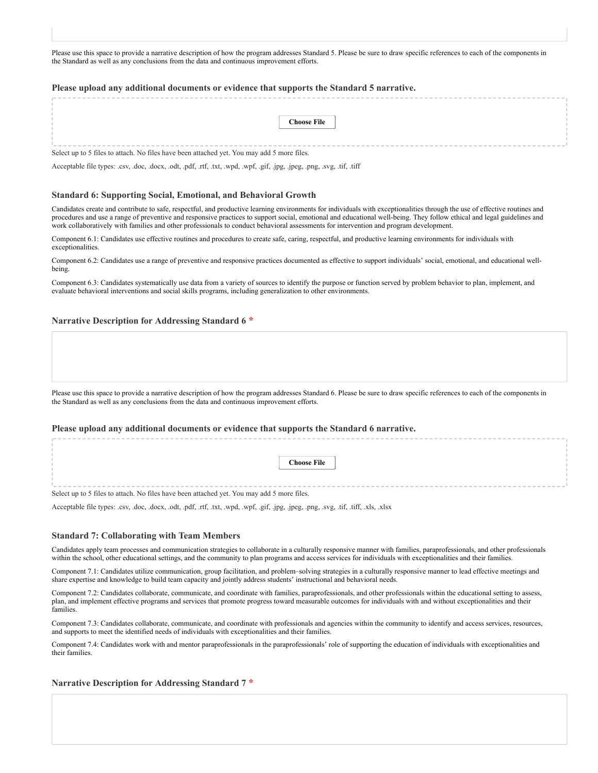Please use this space to provide a narrative description of how the program addresses Standard 5. Please be sure to draw specific references to each of the components in the Standard as well as any conclusions from the data and continuous improvement efforts.

#### **Please upload any additional documents or evidence that supports the Standard 5 narrative.**

|                                                                                            | <b>Choose File</b> |
|--------------------------------------------------------------------------------------------|--------------------|
|                                                                                            |                    |
|                                                                                            |                    |
|                                                                                            |                    |
|                                                                                            |                    |
|                                                                                            |                    |
| Select up to 5 files to attach. No files have been attached yet. You may add 5 more files. |                    |

Acceptable file types: .csv, .doc, .docx, .odt, .pdf, .rtf, .txt, .wpd, .wpf, .gif, .jpg, .jpeg, .png, .svg, .tif, .tiff

#### **Standard 6: Supporting Social, Emotional, and Behavioral Growth**

Candidates create and contribute to safe, respectful, and productive learning environments for individuals with exceptionalities through the use of effective routines and procedures and use a range of preventive and responsive practices to support social, emotional and educational well-being. They follow ethical and legal guidelines and work collaboratively with families and other professionals to conduct behavioral assessments for intervention and program development.

Component 6.1: Candidates use effective routines and procedures to create safe, caring, respectful, and productive learning environments for individuals with exceptionalities.

Component 6.2: Candidates use a range of preventive and responsive practices documented as effective to support individuals' social, emotional, and educational wellbeing.

Component 6.3: Candidates systematically use data from a variety of sources to identify the purpose or function served by problem behavior to plan, implement, and evaluate behavioral interventions and social skills programs, including generalization to other environments.

#### **Narrative Description for Addressing Standard 6 \***

Please use this space to provide a narrative description of how the program addresses Standard 6. Please be sure to draw specific references to each of the components in the Standard as well as any conclusions from the data and continuous improvement efforts.

#### **Please upload any additional documents or evidence that supports the Standard 6 narrative.**

| <b>Choose File</b> |  |
|--------------------|--|
|                    |  |
|                    |  |
|                    |  |
|                    |  |
|                    |  |

Select up to 5 files to attach. No files have been attached yet. You may add 5 more files.

Acceptable file types: .csv, .doc, .docx, .odt, .pdf, .rtf, .txt, .wpd, .wpf, .gif, .jpg, .jpeg, .png, .svg, .tif, .tiff, .xls, .xlsx

#### **Standard 7: Collaborating with Team Members**

Candidates apply team processes and communication strategies to collaborate in a culturally responsive manner with families, paraprofessionals, and other professionals within the school, other educational settings, and the community to plan programs and access services for individuals with exceptionalities and their families.

Component 7.1: Candidates utilize communication, group facilitation, and problem–solving strategies in a culturally responsive manner to lead effective meetings and share expertise and knowledge to build team capacity and jointly address students' instructional and behavioral needs.

Component 7.2: Candidates collaborate, communicate, and coordinate with families, paraprofessionals, and other professionals within the educational setting to assess, plan, and implement effective programs and services that promote progress toward measurable outcomes for individuals with and without exceptionalities and their families.

Component 7.3: Candidates collaborate, communicate, and coordinate with professionals and agencies within the community to identify and access services, resources, and supports to meet the identified needs of individuals with exceptionalities and their families.

Component 7.4: Candidates work with and mentor paraprofessionals in the paraprofessionals' role of supporting the education of individuals with exceptionalities and their families.

#### **Narrative Description for Addressing Standard 7 \***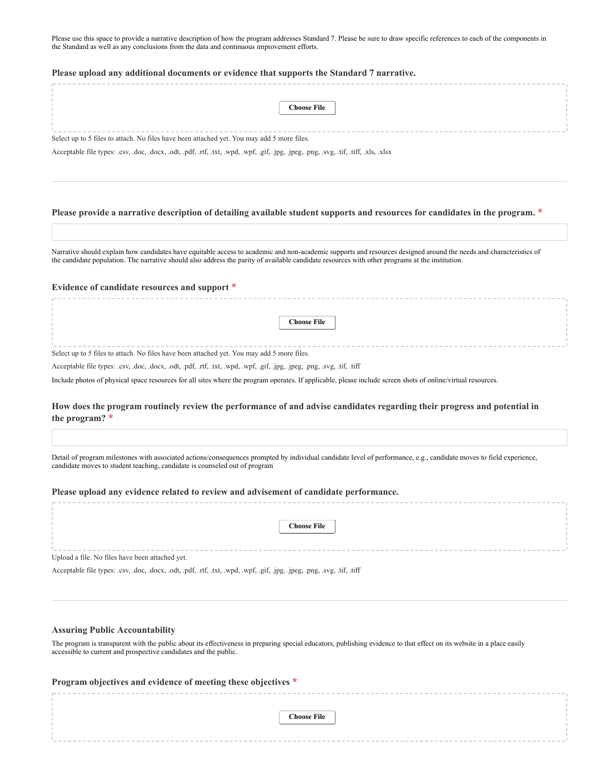Please use this space to provide a narrative description of how the program addresses Standard 7. Please be sure to draw specific references to each of the components in the Standard as well as any conclusions from the data and continuous improvement efforts.

#### **Please upload any additional documents or evidence that supports the Standard 7 narrative.**

|                                                                                            | <b>Choose File</b> |  |  |  |
|--------------------------------------------------------------------------------------------|--------------------|--|--|--|
|                                                                                            |                    |  |  |  |
|                                                                                            |                    |  |  |  |
|                                                                                            |                    |  |  |  |
|                                                                                            |                    |  |  |  |
|                                                                                            |                    |  |  |  |
| Select up to 5 files to attach. No files have been attached yet. You may add 5 more files. |                    |  |  |  |

Acceptable file types: .csv, .doc, .docx, .odt, .pdf, .rtf, .txt, .wpd, .wpf, .gif, .jpg, .jpeg, .png, .svg, .tif, .tiff, .xls, .xlsx

## **Please provide a narrative description of detailing available student supports and resources for candidates in the program. \***

Narrative should explain how candidates have equitable access to academic and non-academic supports and resources designed around the needs and characteristics of the candidate population. The narrative should also address the parity of available candidate resources with other programs at the institution.

#### **Evidence of candidate resources and support \***

**Choose File**

Select up to 5 files to attach. No files have been attached yet. You may add 5 more files.

Acceptable file types: .csv, .doc, .docx, .odt, .pdf, .rtf, .txt, .wpd, .wpf, .gif, .jpg, .jpeg, .png, .svg, .tif, .tiff

Include photos of physical space resources for all sites where the program operates. If applicable, please include screen shots of online/virtual resources.

# **How does the program routinely review the performance of and advise candidates regarding their progress and potential in the program? \***

Detail of program milestones with associated actions/consequences prompted by individual candidate level of performance, e.g., candidate moves to field experience, candidate moves to student teaching, candidate is counseled out of program

#### **Please upload any evidence related to review and advisement of candidate performance.**

|                                                                                                                          | <b>Choose File</b> |  |  |
|--------------------------------------------------------------------------------------------------------------------------|--------------------|--|--|
| Upload a file. No files have been attached yet.                                                                          |                    |  |  |
| Acceptable file types: .csv, .doc, .docx, .odt, .pdf, .rtf, .txt, .wpd, .wpf, .gif, .jpg, .jpeg, .png, .svg, .tif, .tiff |                    |  |  |
|                                                                                                                          |                    |  |  |
|                                                                                                                          |                    |  |  |

#### **Assuring Public Accountability**

The program is transparent with the public about its effectiveness in preparing special educators, publishing evidence to that effect on its website in a place easily accessible to current and prospective candidates and the public.

| Program objectives and evidence of meeting these objectives * |                    |  |  |  |  |
|---------------------------------------------------------------|--------------------|--|--|--|--|
|                                                               |                    |  |  |  |  |
|                                                               |                    |  |  |  |  |
|                                                               | <b>Choose File</b> |  |  |  |  |
|                                                               |                    |  |  |  |  |
|                                                               |                    |  |  |  |  |